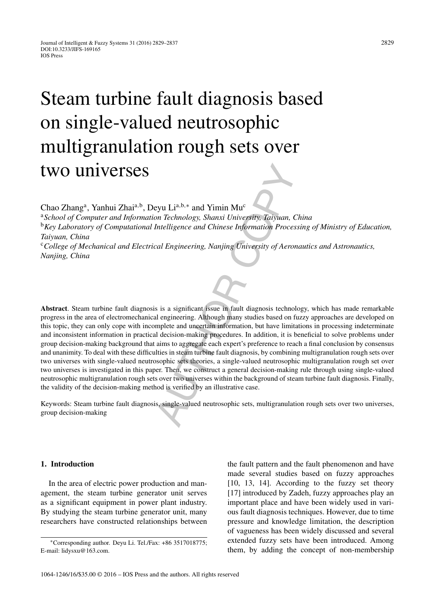# Steam turbine fault diagnosis based on single-valued neutrosophic multigranulation rough sets over two universes

Chao Zhang<sup>a</sup>, Yanhui Zhai<sup>a,b</sup>, Deyu Li<sup>a,b,∗</sup> and Yimin Mu<sup>c</sup>

<sup>a</sup>*School of Computer and Information Technology, Shanxi University, Taiyuan, China* <sup>b</sup>*Key Laboratory of Computational Intelligence and Chinese Information Processing of Ministry of Education, Taiyuan, China* <sup>c</sup>*College of Mechanical and Electrical Engineering, Nanjing University of Aeronautics and Astronautics, Nanjing, China*

eyu Li<sup>a,b,\*</sup> and Yimin Mu<sup>c</sup><br>on Technology, Shanxi University, Taiyuan, C<br>Intelligence and Chinese Information Proces<br>cal Engineering, Nanjing University of Aeron<br>cal Engineering, Nanjing University of Aeron<br>al engineerin **Abstract**. Steam turbine fault diagnosis is a significant issue in fault diagnosis technology, which has made remarkable progress in the area of electromechanical engineering. Although many studies based on fuzzy approaches are developed on this topic, they can only cope with incomplete and uncertain information, but have limitations in processing indeterminate and inconsistent information in practical decision-making procedures. In addition, it is beneficial to solve problems under group decision-making background that aims to aggregate each expert's preference to reach a final conclusion by consensus and unanimity. To deal with these difficulties in steam turbine fault diagnosis, by combining multigranulation rough sets over two universes with single-valued neutrosophic sets theories, a single-valued neutrosophic multigranulation rough set over two universes is investigated in this paper. Then, we construct a general decision-making rule through using single-valued neutrosophic multigranulation rough sets over two universes within the background of steam turbine fault diagnosis. Finally, the validity of the decision-making method is verified by an illustrative case.

Keywords: Steam turbine fault diagnosis, single-valued neutrosophic sets, multigranulation rough sets over two universes, group decision-making

## **1. Introduction**

In the area of electric power production and management, the steam turbine generator unit serves as a significant equipment in power plant industry. By studying the steam turbine generator unit, many researchers have constructed relationships between the fault pattern and the fault phenomenon and have made several studies based on fuzzy approaches [10, 13, 14]. According to the fuzzy set theory [17] introduced by Zadeh, fuzzy approaches play an important place and have been widely used in various fault diagnosis techniques. However, due to time pressure and knowledge limitation, the description of vagueness has been widely discussed and several extended fuzzy sets have been introduced. Among them, by adding the concept of non-membership

<sup>∗</sup>Corresponding author. Deyu Li. Tel./Fax: +86 3517018775; E-mail: [lidysxu@163.com](mailto:lidysxu@163.com).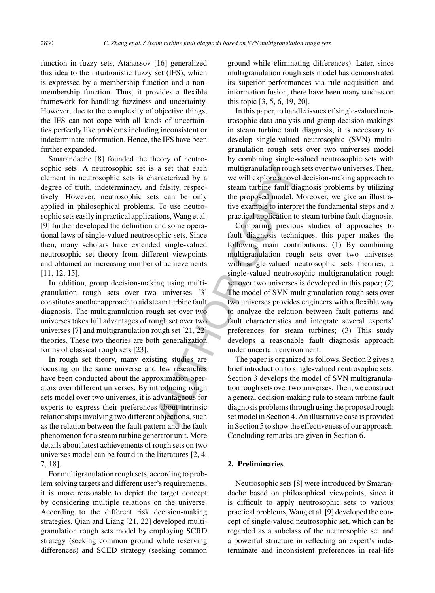function in fuzzy sets, Atanassov [16] generalized this idea to the intuitionistic fuzzy set (IFS), which is expressed by a membership function and a nonmembership function. Thus, it provides a flexible framework for handling fuzziness and uncertainty. However, due to the complexity of objective things, the IFS can not cope with all kinds of uncertainties perfectly like problems including inconsistent or indeterminate information. Hence, the IFS have been further expanded.

Smarandache [8] founded the theory of neutrosophic sets. A neutrosophic set is a set that each element in neutrosophic sets is characterized by a degree of truth, indeterminacy, and falsity, respectively. However, neutrosophic sets can be only applied in philosophical problems. To use neutrosophic sets easily in practical applications, Wang et al. [9] further developed the definition and some operational laws of single-valued neutrosophic sets. Since then, many scholars have extended single-valued neutrosophic set theory from different viewpoints and obtained an increasing number of achievements [11, 12, 15].

In addition, group decision-making using multigranulation rough sets over two universes [3] constitutes another approach to aid steam turbine fault diagnosis. The multigranulation rough set over two universes takes full advantages of rough set over two universes [7] and multigranulation rough set [21, 22] theories. These two theories are both generalization forms of classical rough sets [23].

In rough set theory, many existing studies are focusing on the same universe and few researches have been conducted about the approximation operators over different universes. By introducing rough sets model over two universes, it is advantageous for experts to express their preferences about intrinsic relationships involving two different objections, such as the relation between the fault pattern and the fault phenomenon for a steam turbine generator unit. More details about latest achievements of rough sets on two universes model can be found in the literatures [2, 4, 7, 18].

For multigranulation rough sets, according to problem solving targets and different user's requirements, it is more reasonable to depict the target concept by considering multiple relations on the universe. According to the different risk decision-making strategies, Qian and Liang [21, 22] developed multigranulation rough sets model by employing SCRD strategy (seeking common ground while reserving differences) and SCED strategy (seeking common

ground while eliminating differences). Later, since multigranulation rough sets model has demonstrated its superior performances via rule acquisition and information fusion, there have been many studies on this topic [3, 5, 6, 19, 20].

In this paper, to handle issues of single-valued neutrosophic data analysis and group decision-makings in steam turbine fault diagnosis, it is necessary to develop single-valued neutrosophic (SVN) multigranulation rough sets over two universes model by combining single-valued neutrosophic sets with multigranulation rough sets over two universes. Then, we will explore a novel decision-making approach to steam turbine fault diagnosis problems by utilizing the proposed model. Moreover, we give an illustrative example to interpret the fundamental steps and a practical application to steam turbine fault diagnosis.

a set that each<br>
a set that each<br>
a multigranulation rough<br>
aracterized by a<br>
d falsity, respections, we will explore a nove<br>
a mome operator interpretions, wang et al.<br>
To use neutro-<br>
ive example to interpretions, wang e Comparing previous studies of approaches to fault diagnosis techniques, this paper makes the following main contributions: (1) By combining multigranulation rough sets over two universes with single-valued neutrosophic sets theories, a single-valued neutrosophic multigranulation rough set over two universes is developed in this paper; (2) The model of SVN multigranulation rough sets over two universes provides engineers with a flexible way to analyze the relation between fault patterns and fault characteristics and integrate several experts' preferences for steam turbines; (3) This study develops a reasonable fault diagnosis approach under uncertain environment.

The paper is organized as follows. Section 2 gives a brief introduction to single-valued neutrosophic sets. Section 3 develops the model of SVN multigranulation rough sets over two universes. Then, we construct a general decision-making rule to steam turbine fault diagnosis problems through using the proposed rough set model in Section 4. An illustrative case is provided in Section 5 to show the effectiveness of our approach. Concluding remarks are given in Section 6.

## **2. Preliminaries**

Neutrosophic sets [8] were introduced by Smarandache based on philosophical viewpoints, since it is difficult to apply neutrosophic sets to various practical problems, Wang et al. [9] developed the concept of single-valued neutrosophic set, which can be regarded as a subclass of the neutrosophic set and a powerful structure in reflecting an expert's indeterminate and inconsistent preferences in real-life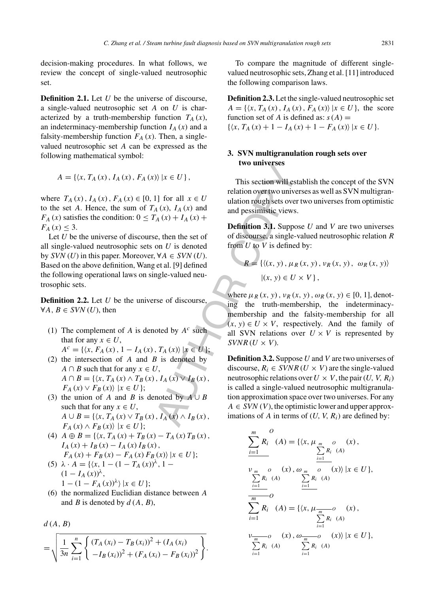decision-making procedures. In what follows, we review the concept of single-valued neutrosophic set.

**Definition 2.1.** Let U be the universe of discourse, a single-valued neutrosophic set A on U is characterized by a truth-membership function  $T_A(x)$ , an indeterminacy-membership function  $I_A(x)$  and a falsity-membership function  $F_A(x)$ . Then, a singlevalued neutrosophic set A can be expressed as the following mathematical symbol:

$$
A = \{ \langle x, T_A(x), I_A(x), F_A(x) \rangle \, | x \in U \},
$$

where  $T_A(x)$ ,  $I_A(x)$ ,  $F_A(x) \in [0, 1]$  for all  $x \in U$ to the set A. Hence, the sum of  $T_A(x)$ ,  $I_A(x)$  and  $F_A(x)$  satisfies the condition:  $0 \leq T_A(x) + I_A(x) + I_A(x)$  $F_A(x) \leq 3$ .

Let  $U$  be the universe of discourse, then the set of all single-valued neutrosophic sets on  $U$  is denoted by  $SVN(U)$  in this paper. Moreover,  $\forall A \in SVN(U)$ . Based on the above definition, Wang et al. [9] defined the following operational laws on single-valued neutrosophic sets.

**Definition 2.2.** Let U be the universe of discourse,  $\forall A, B \in SVN(U)$ , then

- (1) The complement of A is denoted by  $A<sup>c</sup>$  such that for any  $x \in U$ ,  $A^{c} = \{ \langle x, F_{A}(x), 1 - I_{A}(x), T_{A}(x) \rangle | x \in U \};$
- (2) the intersection of A and B is denoted by  $A \cap B$  such that for any  $x \in U$ ,  $A \cap B = \{ \langle x, T_A(x) \wedge T_B(x), I_A(x) \vee I_B(x),$  $F_A(x) \vee F_B(x)$  | $x \in U$  };
- (3) the union of A and B is denoted by  $A \cup B$ such that for any  $x \in U$ ,  $A \cup B = \{ \langle x, T_A(x) \vee T_B(x), I_A(x) \wedge I_B(x), I_B(x) \rangle \}$  $F_A(x) \wedge F_B(x) \rangle |x \in U;$
- (4)  $A \oplus B = \{ \langle x, T_A(x) + T_B(x) T_A(x) T_B(x) \rangle,$  $I_A(x) + I_B(x) - I_A(x) I_B(x)$ ,  $F_A(x) + F_B(x) - F_A(x) F_B(x) |x \in U;$
- (5)  $\lambda \cdot A = \{ (x, 1 (1 T_A(x))^{\lambda}, 1 (1 - I_A(x))^{\lambda},$  $1-(1-F_A(x))^{\lambda}$  | $x \in U$  };
- (6) the normalized Euclidian distance between A and  $B$  is denoted by  $d(A, B)$ ,

$$
d(A, B)
$$

$$
= \sqrt{\frac{1}{3n} \sum_{i=1}^{n} \left\{ \frac{(T_A(x_i) - T_B(x_i))^2 + (I_A(x_i))}{-I_B(x_i))^2 + (F_A(x_i) - F_B(x_i))^2} \right\}}.
$$

To compare the magnitude of different singlevalued neutrosophic sets, Zhang et al. [11] introduced the following comparison laws.

**Definition 2.3.** Let the single-valued neutrosophic set  $A = \{ \langle x, T_A(x), I_A(x), F_A(x) \rangle | x \in U \},\$ the score function set of A is defined as:  $s(A)$  =  $\{\langle x, T_A(x) + 1 - I_A(x) + 1 - F_A(x) \rangle \mid x \in U\}.$ 

## **3. SVN multigranulation rough sets over two universes**

This section will establish the concept of the SVN relation over two universes as well as SVN multigranulation rough sets over two universes from optimistic and pessimistic views.

**Definition 3.1.** Suppose U and V are two universes of discourse, a single-valued neutrosophic relation R from  $U$  to  $V$  is defined by:

$$
R = \{ \langle (x, y), \mu_R(x, y), \nu_R(x, y), \omega_R(x, y) \rangle \mid (x, y) \in U \times V \},
$$

where  $\mu_R(x, y)$ ,  $\nu_R(x, y)$ ,  $\omega_R(x, y) \in [0, 1]$ , denoting the truth-membership, the indeterminacymembership and the falsity-membership for all  $(x, y) \in U \times V$ , respectively. And the family of all SVN relations over  $U \times V$  is represented by  $SVNR$  ( $U \times V$ ).

 $\langle A(x), I_A(x) \rangle$ <br>  $\langle A(x), I_A(x) \rangle$ <br>  $\langle A(x), I_A(x) \rangle$ <br>  $\langle A(x), I_A(x) \rangle$ <br>  $\langle A(x), I_A(x) \rangle$ <br>  $\langle A(x), I_A(x) \rangle$ <br>
Definition 3.1. Suppose, a single-<br>
on *U* is denoted from *U* to *V* is defined<br>  $\langle A(x) + I_A(x) \rangle$ <br>  $\langle A(x) + I_A(x) \rangle$ <br>  $\langle A(x) + I_B(x) \rangle$ <br> **Definition 3.2.** Suppose U and V are two universes of discourse,  $R_i \in \text{SVNR}(U \times V)$  are the single-valued neutrosophic relations over  $U \times V$ , the pair  $(U, V, R_i)$ is called a single-valued neutrosophic multigranulation approximation space over two universes. For any  $A \in SVM(V)$ , the optimistic lower and upper approximations of A in terms of  $(U, V, R_i)$  are defined by:

$$
\sum_{i=1}^{m} R_i^o (A) = \{ \langle x, \mu_{m} o (x), \sum_{i=1}^{m} R_i (A) \rangle \mid x \in U \},
$$
\n
$$
\sum_{i=1}^{m} R_i^o (A) \sum_{i=1}^{m} R_i (A) \sum_{i=1}^{m} R_i (A)
$$
\n
$$
\sum_{i=1}^{m} R_i^o (A) = \{ \langle x, \mu_{m} o (x), \sum_{i=1}^{m} R_i (A) \rangle \mid x \in U \},
$$
\n
$$
\sum_{i=1}^{m} R_i^o (A) \sum_{i=1}^{m} R_i (A)
$$
\n
$$
\sum_{i=1}^{m} R_i (A) \sum_{i=1}^{m} R_i (A)
$$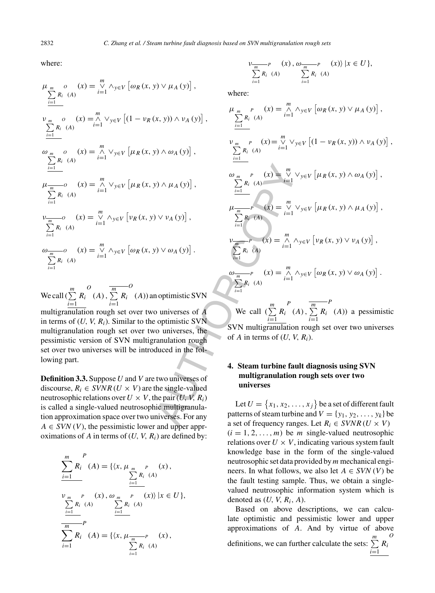where:

$$
\mu_{m} \circ (x) = \bigvee_{i=1}^{m} \wedge_{y \in V} [\omega_{R}(x, y) \vee \mu_{A}(y)],
$$
  
\n
$$
\sum_{i=1}^{m} R_{i} (A)
$$
  
\n
$$
\nu_{m} \circ (x) = \bigwedge_{i=1}^{m} \vee_{y \in V} [(1 - \nu_{R}(x, y)) \wedge \nu_{A}(y)],
$$
  
\n
$$
\sum_{i=1}^{m} R_{i} (A)
$$
  
\n
$$
\omega_{m} \circ (x) = \bigwedge_{i=1}^{m} \vee_{y \in V} [\mu_{R}(x, y) \wedge \omega_{A}(y)],
$$
  
\n
$$
\sum_{i=1}^{m} R_{i} (A)
$$
  
\n
$$
\mu_{m} \circ (x) = \bigwedge_{i=1}^{m} \vee_{y \in V} [\mu_{R}(x, y) \wedge \mu_{A}(y)],
$$
  
\n
$$
\sum_{i=1}^{m} R_{i} (A)
$$
  
\n
$$
\nu_{m} \circ (x) = \bigvee_{i=1}^{m} \wedge_{y \in V} [\nu_{R}(x, y) \vee \nu_{A}(y)],
$$
  
\n
$$
\sum_{i=1}^{m} R_{i} (A)
$$
  
\n
$$
\omega_{m} \circ (x) = \bigvee_{i=1}^{m} \wedge_{y \in V} [\omega_{R}(x, y) \vee \omega_{A}(y)].
$$

We call  $\left(\sum^m\right)$  $\sum_{i=1}$ Ri  $\overline{O}$  $(A), \overline{\sum_{m=1}^{m}}$  $\sum_{i=1}$ Ri  $\overline{O}$ (A)) an optimistic SVN multigranulation rough set over two universes of A in terms of  $(U, V, R<sub>i</sub>)$ . Similar to the optimistic SVN multigranulation rough set over two universes, the pessimistic version of SVN multigranulation rough set over two universes will be introduced in the following part.

**Definition 3.3.** Suppose U and V are two universes of discourse,  $R_i \in SVNR$  ( $U \times V$ ) are the single-valued neutrosophic relations over  $U \times V$ , the pair  $(U, V, R_i)$ is called a single-valued neutrosophic multigranulation approximation space over two universes. For any  $A \in SVM(V)$ , the pessimistic lower and upper approximations of A in terms of  $(U, V, R_i)$  are defined by:

$$
\sum_{i=1}^{m} R_i^P(A) = \{ \langle x, \mu_{m} \rangle P (x), \sum_{i=1}^{p} R_i^P(A) \rangle \mid x \in U \},
$$
\n
$$
\sum_{i=1}^{w} R_i^P(A) \sum_{i=1}^{p} R_i^P(A) \sum_{i=1}^{p} R_i^P(A) \rangle |x \in U \},
$$
\n
$$
\sum_{i=1}^{m} R_i^P(A) = \{ \langle x, \mu_{m} \rangle P (x), \sum_{i=1}^{p} R_i^P(A) \rangle \}
$$

$$
\sum_{i=1}^{m} P \n\begin{array}{c}\n\{x\}, \, \omega_{m} - P \n\end{array}\n\quad (x) \} \, |x \in U \},
$$

where:

$$
(x, y)) \wedge \nu_A(y) ,
$$
\n
$$
\mu_{m} P (x) = \sum_{i=1}^{m} \lambda_{y \in V} [\omega_R(x, y) \vee \mu_A(y) ],
$$
\n
$$
\nu_{m} P (x) = \sum_{i=1}^{m} \lambda_{y \in V} [(\mathbf{1} - \nu_R(x, y) \wedge \nu_A(y) ],
$$
\n
$$
\nu_{m} P (x) = \sum_{i=1}^{m} \nu_{y \in V} [(\mathbf{1} - \nu_R(x, y) \wedge \nu_A(y) ],
$$
\n
$$
\nu_{m} P (x) = \sum_{i=1}^{m} \nu_{y \in V} [\mu_R(x, y) \wedge \omega_A(y) ],
$$
\n
$$
\nu_{m} P (x) = \sum_{i=1}^{m} \nu_{y \in V} [\mu_R(x, y) \wedge \mu_A(y) ],
$$
\n
$$
\nu_{m} P (x) = \sum_{i=1}^{m} \nu_{y \in V} [\mu_R(x, y) \wedge \mu_A(y) ],
$$
\n
$$
\nu_{m} P (x) = \sum_{i=1}^{m} \lambda_{y \in V} [\nu_R(x, y) \vee \nu_A(y) ],
$$
\n
$$
\nu_{m} P (x) = \sum_{i=1}^{m} \lambda_{y \in V} [\nu_R(x, y) \vee \nu_A(y) ].
$$
\nnoptimistic SVM  
\no universes of A  
\nno optimistic SVM  
\no universes of A  
\n*W*<sub>e</sub> call  $(\sum_{i=1}^{m} R_i (A), \sum_{i=1}^{m} R_i (A))$  a pessimistic  
\no universes, the SVM multiplication rough set over two universes  
\nranulation rough  
\nthe single-valued  
\nthe pair  $(U, V, R_i)$   
\nthe single-valued  
\nthe pair  $(U, V, R_i)$   
\nthe single-valued  
\nin the fol-  
\n $4. \text{Steam turbine fault diagnosis using SVM\nin multigramula-\nand unverses. For any patterns of steam turbine and  $V = \{y_1, y_2, ..., y_k\}$  be a set of different fault  
\nmatrix patterns of steam turbine and  $V = \{y_1, y_2, ..., y_k\}$  be a set of different fault  
\nmatrix for any patterns of steam turbine and  $V = \{y_1, y_2, ..., y_k\}$$ 

SVN multigranulation rough set over two universes of A in terms of  $(U, V, R_i)$ .

# **4. Steam turbine fault diagnosis using SVN multigranulation rough sets over two universes**

Let  $U = \{x_1, x_2, \ldots, x_j\}$  be a set of different fault patterns of steam turbine and  $V = \{y_1, y_2, \ldots, y_k\}$  be a set of frequency ranges. Let  $R_i \in SVNR$  ( $U \times V$ )  $(i = 1, 2, \ldots, m)$  be *m* single-valued neutrosophic relations over  $U \times V$ , indicating various system fault knowledge base in the form of the single-valued neutrosophic set data provided by  $m$  mechanical engineers. In what follows, we also let  $A \in SVM(V)$  be the fault testing sample. Thus, we obtain a singlevalued neutrosophic information system which is denoted as  $(U, V, R_i, A)$ .

Based on above descriptions, we can calculate optimistic and pessimistic lower and upper approximations of A. And by virtue of above definitions, we can further calculate the sets:  $\sum_{n=1}^{\infty}$  $\sum_{i=1}$ Ri  $\overline{O}$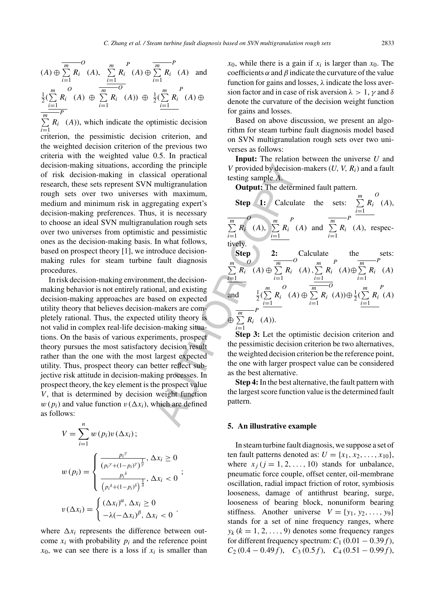$$
(A) \oplus \sum_{i=1}^{m} R_i \quad (A), \quad \sum_{i=1}^{m} R_i \quad (A) \oplus \sum_{i=1}^{m} R_i \quad (A)
$$
 and  

$$
\frac{1}{2} (\sum_{i=1}^{m} R_i \quad (A) \oplus \sum_{i=1}^{m} R_i \quad (A)) \oplus \frac{1}{2} (\sum_{i=1}^{m} R_i \quad (A) \oplus \sum_{i=1}^{m} R_i \quad (A))
$$
  

$$
\sum_{i=1}^{m} R_i \quad (A)),
$$
 which indicate the optimistic decision

 $\sum_{i=1}$ criterion, the pessimistic decision criterion, and the weighted decision criterion of the previous two criteria with the weighted value 0.5. In practical decision-making situations, according the principle of risk decision-making in classical operational research, these sets represent SVN multigranulation rough sets over two universes with maximum, medium and minimum risk in aggregating expert's decision-making preferences. Thus, it is necessary to choose an ideal SVN multigranulation rough sets over two universes from optimistic and pessimistic ones as the decision-making basis. In what follows, based on prospect theory [1], we introduce decisionmaking rules for steam turbine fault diagnosis procedures.

In risk decision-making environment, the decisionmaking behavior is not entirely rational, and existing decision-making approaches are based on expected utility theory that believes decision-makers are completely rational. Thus, the expected utility theory is not valid in complex real-life decision-making situations. On the basis of various experiments, prospect theory pursues the most satisfactory decision result rather than the one with the most largest expected utility. Thus, prospect theory can better reflect subjective risk attitude in decision-making processes. In prospect theory, the key element is the prospect value V, that is determined by decision weight function  $w(p_i)$  and value function  $v(\Delta x_i)$ , which are defined as follows:

$$
V = \sum_{i=1}^{n} w(p_i) v(\Delta x_i);
$$
  

$$
w(p_i) = \begin{cases} \frac{p_i^{\gamma}}{(p_i^{\gamma} + (1 - p_i)^{\gamma})^{\frac{1}{\gamma}}}, \Delta x_i \ge 0\\ \frac{p_i^{\delta}}{(p_i^{\delta} + (1 - p_i)^{\delta})^{\frac{1}{\delta}}}, \Delta x_i < 0\\ v(\Delta x_i) = \begin{cases} (\Delta x_i)^{\alpha}, \Delta x_i \ge 0\\ -\lambda (-\Delta x_i)^{\beta}, \Delta x_i < 0 \end{cases}.\end{cases}
$$

where  $\Delta x_i$  represents the difference between outcome  $x_i$  with probability  $p_i$  and the reference point  $x_0$ , we can see there is a loss if  $x_i$  is smaller than  $x_0$ , while there is a gain if  $x_i$  is larger than  $x_0$ . The coefficients  $\alpha$  and  $\beta$  indicate the curvature of the value function for gains and losses,  $\lambda$  indicate the loss aversion factor and in case of risk aversion  $\lambda > 1$ ,  $\gamma$  and  $\delta$ denote the curvature of the decision weight function for gains and losses.

Based on above discussion, we present an algorithm for steam turbine fault diagnosis model based on SVN multigranulation rough sets over two universes as follows:

**Input:** The relation between the universe U and V provided by decision-makers  $(U, V, R_i)$  and a fault testing sample A.

**Output:** The determined fault pattern.

ing the principle<br>
with maximum,<br>
with maximum,<br>
wegtaing expert's<br>
regating expert's<br>
texting sample A,<br>
with maximum,<br>
texting sample A,<br>
continuation<br>
texting sample A,<br>
and pessimistic<br>
and pessimistic<br>
In what follow **Step 1:** Calculate the sets:  $\sum_{m=1}^{m}$  $\sum_{i=1}$ Ri  $\overline{O}$  $(A),$  $\frac{m}{\sum}$  $\sum_{i=1}$  $R_i$ O  $(A),$  $\sum_{i=1}$ Ri  $\begin{array}{c} P \\ (A) \text{ and } \sum \end{array}$  $\sum_{i=1}$ Ri  $\overline{P}$ (A), respectively. **Step 2:** Calculate the sets:  $\sum_{ }^{m}$  $\sum_{i=1}$ Ri  $\frac{O}{(A) \oplus \sum_{n=1}^{m}}$  $\sum_{i=1}$ Ri O  $(A), \sum^{m}$  $\sum_{i=1}$ Ri  $P$ <sub>(A)⊕</sub> $\frac{m}{\sum}$  $\sum_{i=1}$ Ri  $\overline{P}$  $(A)$ and  $\frac{1}{2}(\sum_{n=1}^{m}$  $\sum_{i=1}$ Ri  $\begin{array}{c}\n O \\
 \hline\n (A) \oplus \sum\nolimits_{n=1}^{m} \n \end{array}$  $\sum_{i=1}$ Ri  $\overline{o}$  $(A))\oplus \frac{1}{2}(\sum_{r=1}^{m}$  $\sum_{i=1}$ Ri P (A)  $\Theta$   $\frac{m}{\sum}$  $\sum_{i=1}$  $R_i$  (A)).  $\overline{F}$ 

**Step 3:** Let the optimistic decision criterion and the pessimistic decision criterion be two alternatives, the weighted decision criterion be the reference point, the one with larger prospect value can be considered as the best alternative.

**Step 4:**In the best alternative, the fault pattern with the largest score function value is the determined fault pattern.

#### **5. An illustrative example**

In steam turbine fault diagnosis, we suppose a set of ten fault patterns denoted as:  $U = \{x_1, x_2, \ldots, x_{10}\},\$ where  $x_i$  ( $j = 1, 2, \ldots, 10$ ) stands for unbalance, pneumatic force couple, offset center, oil-membrane oscillation, radial impact friction of rotor, symbiosis looseness, damage of antithrust bearing, surge, looseness of bearing block, nonuniform bearing stiffness. Another universe  $V = \{y_1, y_2, \ldots, y_9\}$ stands for a set of nine frequency ranges, where  $y_k$  ( $k = 1, 2, \ldots, 9$ ) denotes some frequency ranges for different frequency spectrum:  $C_1 (0.01 - 0.39f)$ ,  $C_2 (0.4 - 0.49f), C_3 (0.5f), C_4 (0.51 - 0.99f),$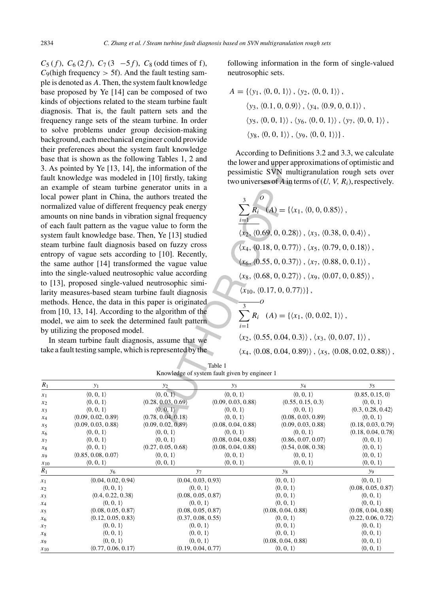formation of the<br>
0] firstly, taking<br>
two universes of A in the<br>
two universes of A in the<br>
two universes of A in the<br>
two universes of A in the<br>
tallue to form the<br>
signal frequency<br>
signal frequency<br>
x and the signal of  $C_5(f)$ ,  $C_6(2f)$ ,  $C_7(3\ -5f)$ ,  $C_8$  (odd times of f),  $C_9$ (high frequency  $> 5f$ ). And the fault testing sample is denoted as A. Then, the system fault knowledge base proposed by Ye [14] can be composed of two kinds of objections related to the steam turbine fault diagnosis. That is, the fault pattern sets and the frequency range sets of the steam turbine. In order to solve problems under group decision-making background, each mechanical engineer could provide their preferences about the system fault knowledge base that is shown as the following Tables 1, 2 and 3. As pointed by Ye [13, 14], the information of the fault knowledge was modeled in [10] firstly, taking an example of steam turbine generator units in a local power plant in China, the authors treated the normalized value of different frequency peak energy amounts on nine bands in vibration signal frequency of each fault pattern as the vague value to form the system fault knowledge base. Then, Ye [13] studied steam turbine fault diagnosis based on fuzzy cross entropy of vague sets according to [10]. Recently, the same author [14] transformed the vague value into the single-valued neutrosophic value according to [13], proposed single-valued neutrosophic similarity measures-based steam turbine fault diagnosis methods. Hence, the data in this paper is originated from [10, 13, 14]. According to the algorithm of the model, we aim to seek the determined fault pattern by utilizing the proposed model.

In steam turbine fault diagnosis, assume that we take a fault testing sample, which is represented by the following information in the form of single-valued neutrosophic sets.

$$
A = \{ \langle y_1, \langle 0, 0, 1 \rangle \rangle, \langle y_2, \langle 0, 0, 1 \rangle \},\
$$

$$
\langle y_3, \langle 0.1, 0, 0.9 \rangle \rangle, \langle y_4, \langle 0.9, 0, 0.1 \rangle \},\
$$

$$
\langle y_5, \langle 0, 0, 1 \rangle \rangle, \langle y_6, \langle 0, 0, 1 \rangle \rangle, \langle y_7, \langle 0, 0, 1 \rangle \},\
$$

$$
\langle y_8, \langle 0, 0, 1 \rangle \rangle, \langle y_9, \langle 0, 0, 1 \rangle \}.
$$

According to Definitions 3.2 and 3.3, we calculate the lower and upper approximations of optimistic and pessimistic SVN multigranulation rough sets over two universes of A in terms of  $(U, V, R_i)$ , respectively.

$$
\sum_{i=1}^{3} R_i (A) = \{ \langle x_1, \langle 0, 0, 0.85 \rangle \},
$$
\n
$$
\langle x_2, \langle 0.69, 0, 0.28 \rangle \rangle, \langle x_3, \langle 0.38, 0, 0.4 \rangle \},
$$
\n
$$
\langle x_4, \langle 0.18, 0, 0.77 \rangle \rangle, \langle x_5, \langle 0.79, 0, 0.18 \rangle \},
$$
\n
$$
\langle x_6, \langle 0.55, 0, 0.37 \rangle \rangle, \langle x_7, \langle 0.88, 0, 0.1 \rangle \},
$$
\n
$$
\langle x_8, \langle 0.68, 0, 0.27 \rangle \rangle, \langle x_9, \langle 0.07, 0, 0.85 \rangle \rangle,
$$
\n
$$
\langle x_{10}, \langle 0.17, 0, 0.77 \rangle \rangle \},
$$

$$
\sum_{i=1} R_i \ (A) = \{ \langle x_1, \langle 0, 0.02, 1 \rangle \},
$$

 $\langle x_2, \langle 0.55, 0.04, 0.3 \rangle \rangle$ ,  $\langle x_3, \langle 0, 0.07, 1 \rangle \rangle$ ,

 $\langle x_4, \langle 0.08, 0.04, 0.89 \rangle \rangle$ ,  $\langle x_5, \langle 0.08, 0.02, 0.88 \rangle \rangle$ ,

| $R_1$    | $y_1$                     | $y_{2}$                   | $y_3$                     | <b>y</b> 4                | $y_5$                     |
|----------|---------------------------|---------------------------|---------------------------|---------------------------|---------------------------|
| $x_1$    | $\langle 0, 0, 1 \rangle$ | $\langle 0, 0, 1 \rangle$ | $\langle 0, 0, 1 \rangle$ | $\langle 0, 0, 1 \rangle$ | (0.85, 0.15, 0)           |
| $x_2$    | $\langle 0, 0, 1 \rangle$ | (0.28, 0.03, 0.69)        | (0.09, 0.03, 0.88)        | (0.55, 0.15, 0.3)         | $\langle 0, 0, 1 \rangle$ |
| $x_3$    | $\langle 0, 0, 1 \rangle$ | $\langle 0, 0, 1 \rangle$ | $\langle 0, 0, 1 \rangle$ | $\langle 0, 0, 1 \rangle$ | (0.3, 0.28, 0.42)         |
| $x_4$    | (0.09, 0.02, 0.89)        | (0.78, 0.04, 0.18)        | $\langle 0, 0, 1 \rangle$ | (0.08, 0.03, 0.89)        | $\langle 0, 0, 1 \rangle$ |
| $x_5$    | (0.09, 0.03, 0.88)        | (0.09, 0.02, 0.89)        | (0.08, 0.04, 0.88)        | (0.09, 0.03, 0.88)        | (0.18, 0.03, 0.79)        |
| $x_6$    | $\langle 0, 0, 1 \rangle$ | (0, 0, 1)                 | $\langle 0, 0, 1 \rangle$ | $\langle 0, 0, 1 \rangle$ | (0.18, 0.04, 0.78)        |
| $x_7$    | $\langle 0, 0, 1 \rangle$ | $\langle 0, 0, 1 \rangle$ | (0.08, 0.04, 0.88)        | (0.86, 0.07, 0.07)        | $\langle 0, 0, 1 \rangle$ |
| $x_8$    | $\langle 0, 0, 1 \rangle$ | (0.27, 0.05, 0.68)        | (0.08, 0.04, 0.88)        | (0.54, 0.08, 0.38)        | $\langle 0, 0, 1 \rangle$ |
| $x_9$    | (0.85, 0.08, 0.07)        | $\langle 0, 0, 1 \rangle$ | (0, 0, 1)                 | $\langle 0, 0, 1 \rangle$ | $\langle 0, 0, 1 \rangle$ |
| $x_{10}$ | $\langle 0, 0, 1 \rangle$ | (0, 0, 1)                 | $\langle 0, 0, 1 \rangle$ | $\langle 0, 0, 1 \rangle$ | $\langle 0, 0, 1 \rangle$ |
| $R_1$    | У6                        | $y_7$                     |                           | $\mathcal{Y}$ 8           | <b>y9</b>                 |
| $x_1$    | (0.04, 0.02, 0.94)        | (0.04, 0.03, 0.93)        |                           | $\langle 0, 0, 1 \rangle$ | $\langle 0, 0, 1 \rangle$ |
| $x_2$    | $\langle 0, 0, 1 \rangle$ | $\langle 0, 0, 1 \rangle$ |                           | $\langle 0, 0, 1 \rangle$ | (0.08, 0.05, 0.87)        |
| $x_3$    | (0.4, 0.22, 0.38)         | (0.08, 0.05, 0.87)        |                           | $\langle 0, 0, 1 \rangle$ | $\langle 0, 0, 1 \rangle$ |
| $x_4$    | $\langle 0, 0, 1 \rangle$ | $\langle 0, 0, 1 \rangle$ |                           | $\langle 0, 0, 1 \rangle$ | $\langle 0, 0, 1 \rangle$ |
| $x_5$    | (0.08, 0.05, 0.87)        | (0.08, 0.05, 0.87)        |                           | (0.08, 0.04, 0.88)        | (0.08, 0.04, 0.88)        |
| $x_6$    | (0.12, 0.05, 0.83)        | (0.37, 0.08, 0.55)        |                           | $\langle 0, 0, 1 \rangle$ | (0.22, 0.06, 0.72)        |
| $x_7$    | (0, 0, 1)                 | (0, 0, 1)                 |                           | (0, 0, 1)                 | (0, 0, 1)                 |
| $x_8$    | $\langle 0, 0, 1 \rangle$ | (0, 0, 1)                 |                           | $\langle 0, 0, 1 \rangle$ | $\langle 0, 0, 1 \rangle$ |
| $x_9$    | $\langle 0, 0, 1 \rangle$ | $\langle 0, 0, 1 \rangle$ |                           | (0.08, 0.04, 0.88)        | $\langle 0, 0, 1 \rangle$ |
| $x_{10}$ | (0.77, 0.06, 0.17)        | (0.19, 0.04, 0.77)        |                           | $\langle 0, 0, 1 \rangle$ | $\langle 0, 0, 1 \rangle$ |

Table 1 Knowledge of system fault given by engineer 1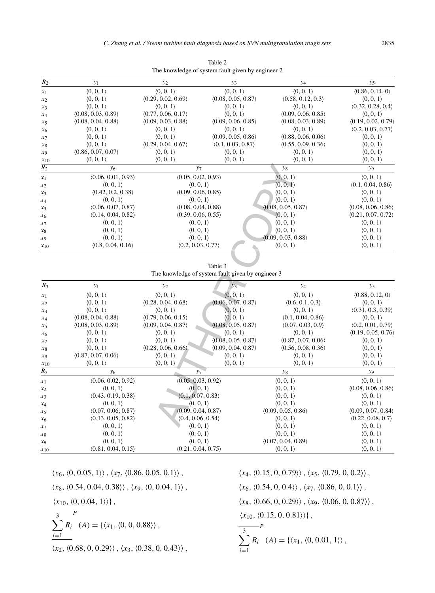| $R_2$            | $y_1$                     | $y_2$                     | $y_3$                     | $y_4$                     | $y_5$                     |  |
|------------------|---------------------------|---------------------------|---------------------------|---------------------------|---------------------------|--|
| $x_1$            | $\langle 0, 0, 1 \rangle$ | $\langle 0, 0, 1 \rangle$ | $\langle 0, 0, 1 \rangle$ | $\langle 0, 0, 1 \rangle$ | (0.86, 0.14, 0)           |  |
| $x_2$            | $\langle 0, 0, 1 \rangle$ | (0.29, 0.02, 0.69)        | (0.08, 0.05, 0.87)        | (0.58, 0.12, 0.3)         | $\langle 0, 0, 1 \rangle$ |  |
| $x_3$            | $\langle 0, 0, 1 \rangle$ | (0, 0, 1)                 | (0, 0, 1)                 | $\langle 0, 0, 1 \rangle$ | (0.32, 0.28, 0.4)         |  |
| $x_4$            | (0.08, 0.03, 0.89)        | (0.77, 0.06, 0.17)        | $\langle 0, 0, 1 \rangle$ | (0.09, 0.06, 0.85)        | $\langle 0, 0, 1 \rangle$ |  |
| $x_5$            | (0.08, 0.04, 0.88)        | (0.09, 0.03, 0.88)        | (0.09, 0.06, 0.85)        | (0.08, 0.03, 0.89)        | (0.19, 0.02, 0.79)        |  |
| x <sub>6</sub>   | $\langle 0, 0, 1 \rangle$ | $\langle 0, 0, 1 \rangle$ | $\langle 0, 0, 1 \rangle$ | $\langle 0, 0, 1 \rangle$ | (0.2, 0.03, 0.77)         |  |
| $x_7$            | (0, 0, 1)                 | $\langle 0, 0, 1 \rangle$ | (0.09, 0.05, 0.86)        | (0.88, 0.06, 0.06)        | (0, 0, 1)                 |  |
| $x_8$            | $\langle 0, 0, 1 \rangle$ | (0.29, 0.04, 0.67)        | (0.1, 0.03, 0.87)         | (0.55, 0.09, 0.36)        | $\langle 0, 0, 1 \rangle$ |  |
| $x_9$            | (0.86, 0.07, 0.07)        | $\langle 0, 0, 1 \rangle$ | $\langle 0, 0, 1 \rangle$ | $\langle 0, 0, 1 \rangle$ | $\langle 0, 0, 1 \rangle$ |  |
| $x_{10}$         | $\langle 0, 0, 1 \rangle$ | $\langle 0, 0, 1 \rangle$ | $\langle 0, 0, 1 \rangle$ | (0, 0, 1)                 | (0, 0, 1)                 |  |
| $\overline{R_2}$ | $y_6$                     | $y_7$                     |                           | $y_8$                     | <b>y</b> 9                |  |
| $x_1$            | (0.06, 0.01, 0.93)        |                           | (0.05, 0.02, 0.93)        | $\langle 0, 0, 1 \rangle$ | (0, 0, 1)                 |  |
| $x_2$            | $\langle 0, 0, 1 \rangle$ |                           | $\langle 0, 0, 1 \rangle$ | $\langle 0, 0, 1 \rangle$ | (0.1, 0.04, 0.86)         |  |
| $x_3$            | (0.42, 0.2, 0.38)         | (0.09, 0.06, 0.85)        |                           | (0, 0, 1)                 | (0, 0, 1)                 |  |
| $x_4$            | $\langle 0, 0, 1 \rangle$ |                           | $\langle 0, 0, 1 \rangle$ | $\langle 0, 0, 1 \rangle$ | $\langle 0, 0, 1 \rangle$ |  |
| $x_5$            | (0.06, 0.07, 0.87)        | (0.08, 0.04, 0.88)        |                           | (0.08, 0.05, 0.87)        | (0.08, 0.06, 0.86)        |  |
| $x_6$            | (0.14, 0.04, 0.82)        | (0.39, 0.06, 0.55)        |                           | (0, 0, 1)                 | (0.21, 0.07, 0.72)        |  |
| $x_7$            | $\langle 0, 0, 1 \rangle$ |                           | $\langle 0, 0, 1 \rangle$ | $\langle 0, 0, 1 \rangle$ | (0, 0, 1)                 |  |
| $x_8$            | $\langle 0, 0, 1 \rangle$ | $\langle 0, 0, 1 \rangle$ |                           | $\langle 0, 0, 1 \rangle$ | $\langle 0, 0, 1 \rangle$ |  |
| $x_9$            | $\langle 0, 0, 1 \rangle$ |                           | $\langle 0, 0, 1 \rangle$ | (0.09, 0.03, 0.88)        | $\langle 0, 0, 1 \rangle$ |  |
| $x_{10}$         | (0.8, 0.04, 0.16)         | (0.2, 0.03, 0.77)         |                           | (0, 0, 1)                 | $\langle 0, 0, 1 \rangle$ |  |

Table 2 The knowledge of system fault given by engineer 2

Table 3 The knowledge of system fault given by engineer 3

| $\overline{R_2}$ | $y_6$                     | $y_7$                     |                                                   | $y_{\rm 8}$               | y <sub>9</sub>            |
|------------------|---------------------------|---------------------------|---------------------------------------------------|---------------------------|---------------------------|
| $x_1$            | (0.06, 0.01, 0.93)        | (0.05, 0.02, 0.93)        |                                                   | $\langle 0, 0, 1 \rangle$ | (0, 0, 1)                 |
| $x_2$            | (0, 0, 1)                 | (0, 0, 1)                 |                                                   | (0, 0, 1)                 | (0.1, 0.04, 0.86)         |
| $x_3$            | (0.42, 0.2, 0.38)         | (0.09, 0.06, 0.85)        |                                                   | (0, 0, 1)                 | (0, 0, 1)                 |
| $x_4$            | (0, 0, 1)                 | $\langle 0, 0, 1 \rangle$ |                                                   | (0, 0, 1)                 | (0, 0, 1)                 |
| $x_5$            | (0.06, 0.07, 0.87)        | (0.08, 0.04, 0.88)        |                                                   | (0.08, 0.05, 0.87)        | (0.08, 0.06, 0.86)        |
| $x_6$            | (0.14, 0.04, 0.82)        | (0.39, 0.06, 0.55)        |                                                   | $\langle 0, 0, 1 \rangle$ | (0.21, 0.07, 0.72)        |
| $x_7$            | $\langle 0, 0, 1 \rangle$ | (0, 0, 1)                 |                                                   | (0, 0, 1)                 | $\langle 0, 0, 1 \rangle$ |
| $x_8$            | $\langle 0, 0, 1 \rangle$ | $\langle 0, 0, 1 \rangle$ |                                                   | (0, 0, 1)                 | (0, 0, 1)                 |
| $x_9$            | $\langle 0, 0, 1 \rangle$ | $\langle 0, 0, 1 \rangle$ |                                                   | (0.09, 0.03, 0.88)        | $\langle 0, 0, 1 \rangle$ |
| $x_{10}$         | (0.8, 0.04, 0.16)         | (0.2, 0.03, 0.77)         |                                                   | $\langle 0, 0, 1 \rangle$ | (0, 0, 1)                 |
|                  |                           |                           |                                                   |                           |                           |
|                  |                           |                           | Table 3                                           |                           |                           |
|                  |                           |                           | The knowledge of system fault given by engineer 3 |                           |                           |
| $R_3$            | $y_1$                     | $y_2$                     | $y_3$                                             | $y_4$                     | $y_5$                     |
| $x_1$            | (0, 0, 1)                 | (0, 0, 1)                 | $\langle 0, 0, 1 \rangle$                         | (0, 0, 1)                 | (0.88, 0.12, 0)           |
| $x_2$            | $\langle 0, 0, 1 \rangle$ | (0.28, 0.04, 0.68)        | (0.06, 0.07, 0.87)                                | (0.6, 0.1, 0.3)           | $\langle 0, 0, 1 \rangle$ |
| $x_3$            | (0, 0, 1)                 | (0, 0, 1)                 | $\langle 0, 0, 1 \rangle$                         | (0, 0, 1)                 | (0.31, 0.3, 0.39)         |
| $x_4$            | (0.08, 0.04, 0.88)        | (0.79, 0.06, 0.15)        | $\langle 0, 0, 1 \rangle$                         | (0.1, 0.04, 0.86)         | (0, 0, 1)                 |
| $x_5$            | (0.08, 0.03, 0.89)        | (0.09, 0.04, 0.87)        | (0.08, 0.05, 0.87)                                | (0.07, 0.03, 0.9)         | (0.2, 0.01, 0.79)         |
| $x_6$            | (0, 0, 1)                 | (0, 0, 1)                 | $\langle 0, 0, 1 \rangle$                         | (0, 0, 1)                 | (0.19, 0.05, 0.76)        |
| $x_7$            | (0, 0, 1)                 | (0, 0, 1)                 | (0.08, 0.05, 0.87)                                | (0.87, 0.07, 0.06)        | (0, 0, 1)                 |
| $x_8$            | (0, 0, 1)                 | (0.28, 0.06, 0.66)        | (0.09, 0.04, 0.87)                                | (0.56, 0.08, 0.36)        | (0, 0, 1)                 |
| $x_9$            | (0.87, 0.07, 0.06)        | (0, 0, 1)                 | (0, 0, 1)                                         | (0, 0, 1)                 | (0, 0, 1)                 |
| $x_{10}$         | $\langle 0, 0, 1 \rangle$ | $\langle 0, 0, 1 \rangle$ | $\langle 0, 0, 1 \rangle$                         | $\langle 0, 0, 1 \rangle$ | $\langle 0, 0, 1 \rangle$ |
| $\overline{R_3}$ | $y_6$                     | $y_7$                     |                                                   | $y_8$                     | y <sub>9</sub>            |
| $x_1$            | (0.06, 0.02, 0.92)        | (0.05, 0.03, 0.92)        |                                                   | (0, 0, 1)                 | (0, 0, 1)                 |
| $x_2$            | (0, 0, 1)                 | (0, 0, 1)                 |                                                   | $\langle 0, 0, 1 \rangle$ | (0.08, 0.06, 0.86)        |
| $x_3$            | (0.43, 0.19, 0.38)        | (0.1, 0.07, 0.83)         |                                                   | $\langle 0, 0, 1 \rangle$ | $\langle 0, 0, 1 \rangle$ |
| $x_4$            | $\langle 0, 0, 1 \rangle$ | $\langle 0, 0, 1 \rangle$ |                                                   | $\langle 0, 0, 1 \rangle$ | $\langle 0, 0, 1 \rangle$ |
| $x_5$            | (0.07, 0.06, 0.87)        | (0.09, 0.04, 0.87)        |                                                   | (0.09, 0.05, 0.86)        | (0.09, 0.07, 0.84)        |
| $x_6$            | (0.13, 0.05, 0.82)        | (0.4, 0.06, 0.54)         |                                                   | $\langle 0, 0, 1 \rangle$ | (0.22, 0.08, 0.7)         |
| $x_7$            | (0, 0, 1)                 | (0, 0, 1)                 |                                                   | $\langle 0, 0, 1 \rangle$ | $\langle 0, 0, 1 \rangle$ |
| $x_8$            | (0, 0, 1)                 | (0, 0, 1)                 |                                                   | (0, 0, 1)                 | (0, 0, 1)                 |
| $x_9$            | $\langle 0, 0, 1 \rangle$ | $\langle 0, 0, 1 \rangle$ |                                                   | (0.07, 0.04, 0.89)        | $\langle 0, 0, 1 \rangle$ |
| $x_{10}$         | (0.81, 0.04, 0.15)        | (0.21, 0.04, 0.75)        |                                                   | (0, 0, 1)                 | (0, 0, 1)                 |

 $\langle x_{6},\langle 0, 0.05, 1\rangle\rangle$  ,  $\langle x_{7},\langle 0.86, 0.05, 0.1\rangle\rangle$  ,  $\langle x_8, \langle 0.54, 0.04, 0.38 \rangle \rangle$ ,  $\langle x_9, \langle 0, 0.04, 1 \rangle \rangle$ ,

 $\langle x_{10}, \langle 0, 0.04, 1 \rangle \rangle$ ,

$$
\sum_{i=1}^{3} R_i \left( A \right) = \{ \langle x_1, \langle 0, 0, 0.88 \rangle \},
$$

 $\langle x_2, \langle 0.68, 0, 0.29 \rangle \rangle$ ,  $\langle x_3, \langle 0.38, 0, 0.43 \rangle \rangle$ ,

 $\langle x_4, \langle 0.15, 0, 0.79 \rangle \rangle, \langle x_5, \langle 0.79, 0, 0.2 \rangle \rangle,$  $\langle x_6, \langle 0.54, 0, 0.4 \rangle \rangle$ ,  $\langle x_7, \langle 0.86, 0, 0.1 \rangle \rangle$ ,  $\langle x_8, \langle 0.66, 0, 0.29 \rangle \rangle$ ,  $\langle x_9, \langle 0.06, 0, 0.87 \rangle \rangle$ ,  $\langle x_{10}, \langle 0.15, 0, 0.81 \rangle \rangle$ , 3  $-P$ 

$$
\sum_{i=1} R_i \ (A) = \{ \langle x_1, \langle 0, 0.01, 1 \rangle \},
$$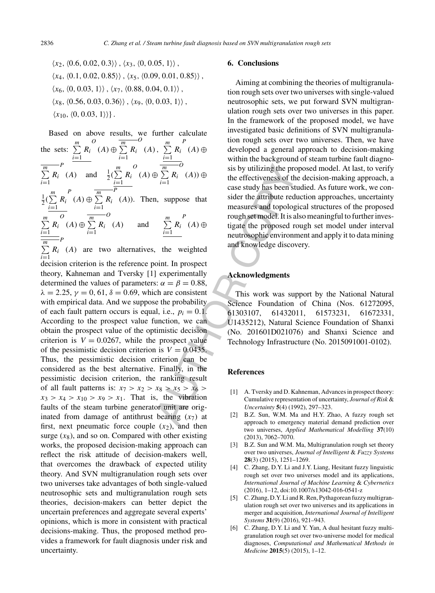$\langle x_2, \langle 0.6, 0.02, 0.3 \rangle \rangle$ ,  $\langle x_3, \langle 0, 0.05, 1 \rangle \rangle$ ,  $\langle x_4, \langle 0.1, 0.02, 0.85 \rangle \rangle$ ,  $\langle x_5, \langle 0.09, 0.01, 0.85 \rangle \rangle$ ,  $\langle x_6, \langle 0, 0.03, 1 \rangle \rangle$ ,  $\langle x_7, \langle 0.88, 0.04, 0.1 \rangle \rangle$ ,  $\langle x_8, \langle 0.56, 0.03, 0.36 \rangle \rangle$ ,  $\langle x_9, \langle 0, 0.03, 1 \rangle \rangle$ ,  $\langle x_{10}, \langle 0, 0.03, 1 \rangle \rangle$ .

 $\frac{m}{n}$ <br>  $\sum_{i=1}^{m} R_i$  (A)  $\oplus$  is by utilizing the procedure the effectiveness of the case study has been st<br>
and sider the attribute red measures and topolog<br>  $\sum_{i=1}^{m} R_i$  (A)  $\oplus$  interesting to the proposed red Based on above results, we further calculate the sets:  $\sum_{m=1}^{m}$  $\sum_{i=1}$ Ri  $\begin{array}{c}\n O \\
 \hline\n (A) \oplus \sum\nolimits_{n=1}^{m} \n \end{array}$  $\sum_{i=1}$ Ri  $\begin{matrix} 0 \\ (A) \end{matrix}, \ \frac{m}{\sum}$  $\sum_{i=1}$ Ri P  $(A) \oplus$  $\frac{m}{\sum}$  $\sum_{i=1}$ Ri P (A) and  $\frac{1}{2}(\sum_{n=1}^{m}$  $\sum_{i=1}$ Ri  $\begin{array}{c}\n O \\
 \hline\n (A) \oplus \sum\nolimits_{n=1}^{m} \n \end{array}$  $\sum_{i=1}$ Ri  $\overline{o}$  $(A)) \oplus$  $\frac{1}{2}(\sum_{i=1}^{m}$  $\sum_{i=1}$ Ri  $P$ <sup>m</sup> $(A) \oplus \sum$  $\sum_{i=1}$ Ri  $\bar{F}$  $(A)$ ). Then, suppose that  $\sum^m$  $\sum_{i=1}$ Ri  $\begin{array}{c}\n O \\
 \hline\n (A) \oplus \sum\nolimits_{n=1}^{m} \n \end{array}$  $\sum_{i=1}$ Ri  $\begin{array}{cc} (A) & \text{and} & \sum^m \\ (A) & \text{and} & \sum^m \end{array}$  $\sum_{i=1}$ Ri P  $(A) \oplus$  $\frac{m}{\sum}$  $\sum_{i=1}$ Ri P (A) are two alternatives, the weighted decision criterion is the reference point. In prospect theory, Kahneman and Tversky [1] experimentally determined the values of parameters:  $\alpha = \beta = 0.88$ ,  $\lambda = 2.25$ ,  $\gamma = 0, 61, \delta = 0.69$ , which are consistent with empirical data. And we suppose the probability of each fault pattern occurs is equal, i.e.,  $p_i = 0.1$ . According to the prospect value function, we can obtain the prospect value of the optimistic decision criterion is  $V = 0.0267$ , while the prospect value of the pessimistic decision criterion is  $V = 0.0435$ . Thus, the pessimistic decision criterion can be considered as the best alternative. Finally, in the pessimistic decision criterion, the ranking result of all fault patterns is:  $x_7 > x_2 > x_8 > x_5 > x_6 >$  $x_3 > x_4 > x_{10} > x_9 > x_1$ . That is, the vibration faults of the steam turbine generator unit are originated from damage of antithrust bearing  $(x_7)$  at first, next pneumatic force couple  $(x_2)$ , and then surge  $(x_8)$ , and so on. Compared with other existing works, the proposed decision-making approach can reflect the risk attitude of decision-makers well, that overcomes the drawback of expected utility theory. And SVN multigranulation rough sets over two universes take advantages of both single-valued neutrosophic sets and multigranulation rough sets theories, decision-makers can better depict the uncertain preferences and aggregate several experts' opinions, which is more in consistent with practical decisions-making. Thus, the proposed method provides a framework for fault diagnosis under risk and uncertainty.

## **6. Conclusions**

Aiming at combining the theories of multigranulation rough sets over two universes with single-valued neutrosophic sets, we put forward SVN multigranulation rough sets over two universes in this paper. In the framework of the proposed model, we have investigated basic definitions of SVN multigranulation rough sets over two universes. Then, we have developed a general approach to decision-making within the background of steam turbine fault diagnosis by utilizing the proposed model. At last, to verify the effectiveness of the decision-making approach, a case study has been studied. As future work, we consider the attribute reduction approaches, uncertainty measures and topological structures of the proposed rough set model. It is also meaningful to further investigate the proposed rough set model under interval neutrosophic environment and apply it to data mining and knowledge discovery.

## **Acknowledgments**

This work was support by the National Natural Science Foundation of China (Nos. 61272095, 61303107, 61432011, 61573231, 61672331, U1435212), Natural Science Foundation of Shanxi (No. 201601D021076) and Shanxi Science and Technology Infrastructure (No. 2015091001-0102).

## **References**

- [1] A. Tversky and D. Kahneman, Advances in prospect theory: Cumulative representation of uncertainty, *Journal of Risk* & *Uncertainty* **5**(4) (1992), 297–323.
- [2] B.Z. Sun, W.M. Ma and H.Y. Zhao, A fuzzy rough set approach to emergency material demand prediction over two universes, *Applied Mathematical Modelling* **37**(10) (2013), 7062–7070.
- [3] B.Z. Sun and W.M. Ma, Multigranulation rough set theory over two universes, *Journal of Intelligent* & *Fuzzy Systems* **28**(3) (2015), 1251–1269.
- [4] C. Zhang, D.Y. Li and J.Y. Liang, Hesitant fuzzy linguistic rough set over two universes model and its applications, *International Journal of Machine Learning* & *Cybernetics* (2016), 1–12, doi:10.1007/s13042-016-0541-z
- [5] C. Zhang, D.Y. Li and R. Ren, Pythagorean fuzzy multigranulation rough set over two universes and its applications in merger and acquisition, *International Journal of Intelligent Systems* **31**(9) (2016), 921–943.
- [6] C. Zhang, D.Y. Li and Y. Yan, A dual hesitant fuzzy multigranulation rough set over two-universe model for medical diagnoses, *Computational and Mathematical Methods in Medicine* **2015**(5) (2015), 1–12.